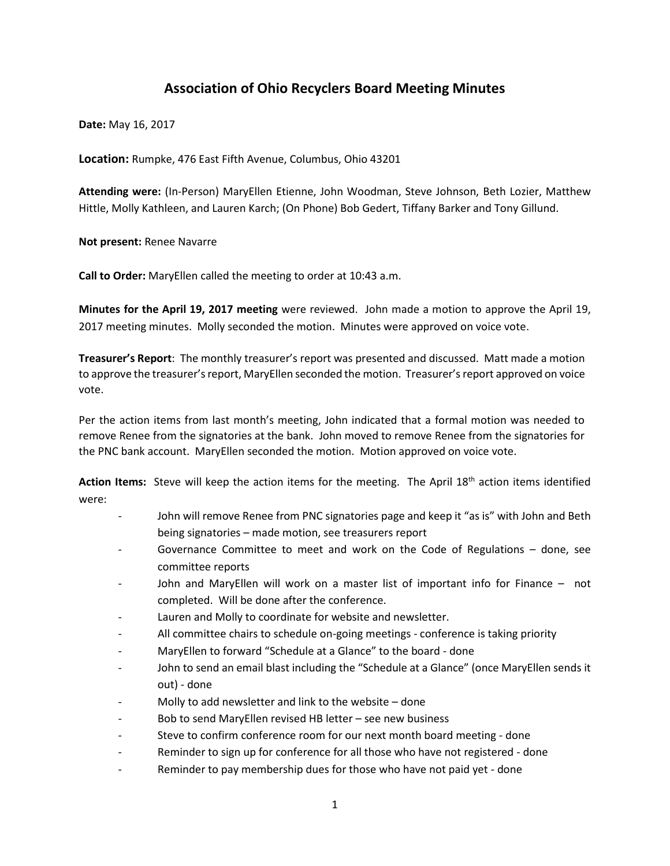## **Association of Ohio Recyclers Board Meeting Minutes**

**Date:** May 16, 2017

**Location:** Rumpke, 476 East Fifth Avenue, Columbus, Ohio 43201

**Attending were:** (In-Person) MaryEllen Etienne, John Woodman, Steve Johnson, Beth Lozier, Matthew Hittle, Molly Kathleen, and Lauren Karch; (On Phone) Bob Gedert, Tiffany Barker and Tony Gillund.

**Not present:** Renee Navarre

**Call to Order:** MaryEllen called the meeting to order at 10:43 a.m.

**Minutes for the April 19, 2017 meeting** were reviewed. John made a motion to approve the April 19, 2017 meeting minutes. Molly seconded the motion. Minutes were approved on voice vote.

**Treasurer's Report**: The monthly treasurer's report was presented and discussed. Matt made a motion to approve the treasurer's report, MaryEllen seconded the motion. Treasurer's report approved on voice vote.

Per the action items from last month's meeting, John indicated that a formal motion was needed to remove Renee from the signatories at the bank. John moved to remove Renee from the signatories for the PNC bank account. MaryEllen seconded the motion. Motion approved on voice vote.

**Action Items:** Steve will keep the action items for the meeting. The April 18th action items identified were:

- John will remove Renee from PNC signatories page and keep it "as is" with John and Beth being signatories – made motion, see treasurers report
- Governance Committee to meet and work on the Code of Regulations done, see committee reports
- John and MaryEllen will work on a master list of important info for Finance not completed. Will be done after the conference.
- Lauren and Molly to coordinate for website and newsletter.
- All committee chairs to schedule on-going meetings conference is taking priority
- MaryEllen to forward "Schedule at a Glance" to the board done
- John to send an email blast including the "Schedule at a Glance" (once MaryEllen sends it out) - done
- Molly to add newsletter and link to the website  $-$  done
- Bob to send MaryEllen revised HB letter see new business
- Steve to confirm conference room for our next month board meeting done
- Reminder to sign up for conference for all those who have not registered done
- Reminder to pay membership dues for those who have not paid yet done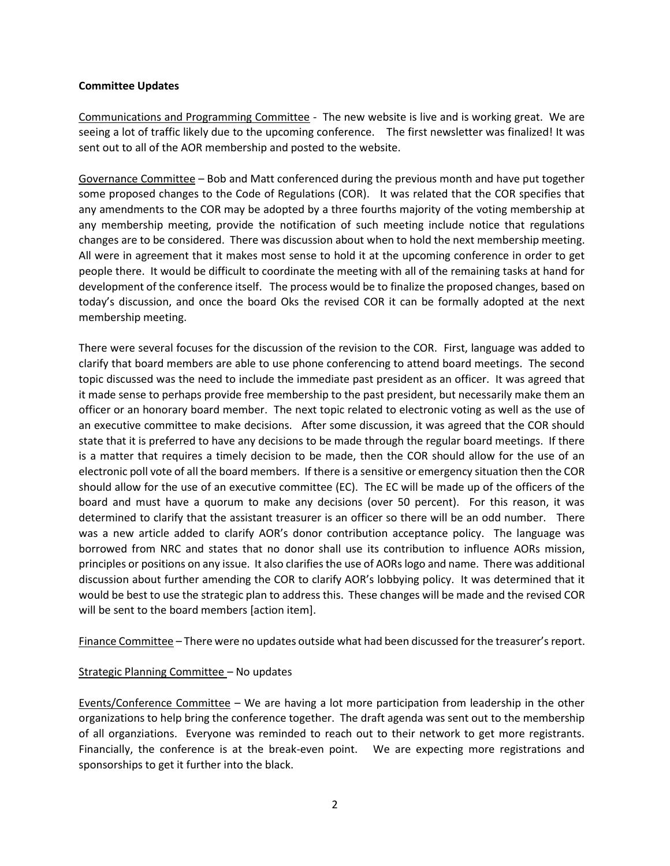## **Committee Updates**

Communications and Programming Committee - The new website is live and is working great. We are seeing a lot of traffic likely due to the upcoming conference. The first newsletter was finalized! It was sent out to all of the AOR membership and posted to the website.

Governance Committee – Bob and Matt conferenced during the previous month and have put together some proposed changes to the Code of Regulations (COR). It was related that the COR specifies that any amendments to the COR may be adopted by a three fourths majority of the voting membership at any membership meeting, provide the notification of such meeting include notice that regulations changes are to be considered. There was discussion about when to hold the next membership meeting. All were in agreement that it makes most sense to hold it at the upcoming conference in order to get people there. It would be difficult to coordinate the meeting with all of the remaining tasks at hand for development of the conference itself. The process would be to finalize the proposed changes, based on today's discussion, and once the board Oks the revised COR it can be formally adopted at the next membership meeting.

There were several focuses for the discussion of the revision to the COR. First, language was added to clarify that board members are able to use phone conferencing to attend board meetings. The second topic discussed was the need to include the immediate past president as an officer. It was agreed that it made sense to perhaps provide free membership to the past president, but necessarily make them an officer or an honorary board member. The next topic related to electronic voting as well as the use of an executive committee to make decisions. After some discussion, it was agreed that the COR should state that it is preferred to have any decisions to be made through the regular board meetings. If there is a matter that requires a timely decision to be made, then the COR should allow for the use of an electronic poll vote of all the board members. If there is a sensitive or emergency situation then the COR should allow for the use of an executive committee (EC). The EC will be made up of the officers of the board and must have a quorum to make any decisions (over 50 percent). For this reason, it was determined to clarify that the assistant treasurer is an officer so there will be an odd number. There was a new article added to clarify AOR's donor contribution acceptance policy. The language was borrowed from NRC and states that no donor shall use its contribution to influence AORs mission, principles or positions on any issue. It also clarifies the use of AORs logo and name. There was additional discussion about further amending the COR to clarify AOR's lobbying policy. It was determined that it would be best to use the strategic plan to address this. These changes will be made and the revised COR will be sent to the board members [action item].

Finance Committee – There were no updates outside what had been discussed for the treasurer's report.

## Strategic Planning Committee – No updates

Events/Conference Committee – We are having a lot more participation from leadership in the other organizations to help bring the conference together. The draft agenda was sent out to the membership of all organziations. Everyone was reminded to reach out to their network to get more registrants. Financially, the conference is at the break-even point. We are expecting more registrations and sponsorships to get it further into the black.